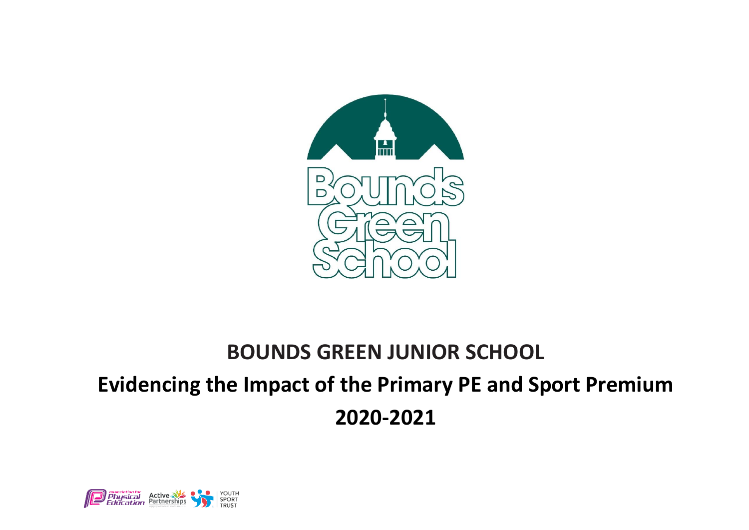

## **BOUNDS GREEN JUNIOR SCHOOL Evidencing the Impact of the Primary PE and Sport Premium 2020-2021**

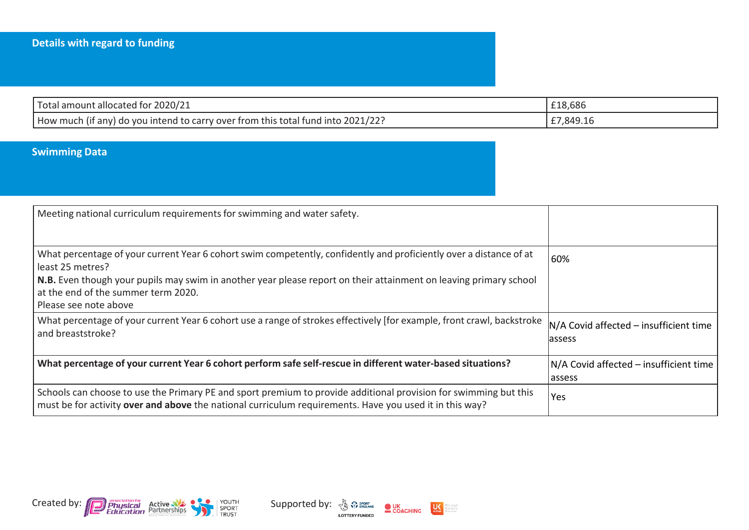| Total amount allocated for 2020/21                                               | £18,686   |
|----------------------------------------------------------------------------------|-----------|
| How much (if any) do you intend to carry over from this total fund into 2021/22? | £7,849.16 |

## **Swimming Data**

| Meeting national curriculum requirements for swimming and water safety.                                                                                                                                                     |                                                     |
|-----------------------------------------------------------------------------------------------------------------------------------------------------------------------------------------------------------------------------|-----------------------------------------------------|
| What percentage of your current Year 6 cohort swim competently, confidently and proficiently over a distance of at<br>least 25 metres?                                                                                      | 60%                                                 |
| N.B. Even though your pupils may swim in another year please report on their attainment on leaving primary school<br>at the end of the summer term 2020.<br>Please see note above                                           |                                                     |
| What percentage of your current Year 6 cohort use a range of strokes effectively [for example, front crawl, backstroke<br>and breaststroke?                                                                                 | $N/A$ Covid affected – insufficient time<br>lassess |
| What percentage of your current Year 6 cohort perform safe self-rescue in different water-based situations?                                                                                                                 | N/A Covid affected – insufficient time<br>assess    |
| Schools can choose to use the Primary PE and sport premium to provide additional provision for swimming but this<br>must be for activity over and above the national curriculum requirements. Have you used it in this way? | Yes                                                 |





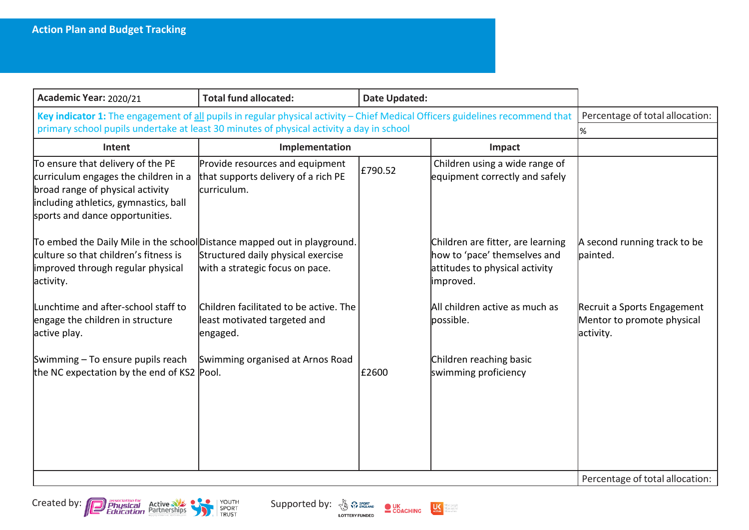| Academic Year: 2020/21                                                                                                                                                                                                    | <b>Total fund allocated:</b>                                                          | <b>Date Updated:</b> |                                                                                                                  |                                                                        |
|---------------------------------------------------------------------------------------------------------------------------------------------------------------------------------------------------------------------------|---------------------------------------------------------------------------------------|----------------------|------------------------------------------------------------------------------------------------------------------|------------------------------------------------------------------------|
| Key indicator 1: The engagement of all pupils in regular physical activity - Chief Medical Officers guidelines recommend that<br>primary school pupils undertake at least 30 minutes of physical activity a day in school |                                                                                       |                      | Percentage of total allocation:<br>l%                                                                            |                                                                        |
| Intent                                                                                                                                                                                                                    | Implementation                                                                        |                      | Impact                                                                                                           |                                                                        |
| To ensure that delivery of the PE<br>curriculum engages the children in a<br>broad range of physical activity<br>including athletics, gymnastics, ball<br>sports and dance opportunities.                                 | Provide resources and equipment<br>that supports delivery of a rich PE<br>curriculum. | £790.52              | Children using a wide range of<br>equipment correctly and safely                                                 |                                                                        |
| To embed the Daily Mile in the school Distance mapped out in playground.<br>culture so that children's fitness is<br>improved through regular physical<br>activity.                                                       | Structured daily physical exercise<br>with a strategic focus on pace.                 |                      | Children are fitter, are learning<br>how to 'pace' themselves and<br>attitudes to physical activity<br>improved. | A second running track to be<br>painted.                               |
| Lunchtime and after-school staff to<br>engage the children in structure<br>active play.                                                                                                                                   | Children facilitated to be active. The<br>least motivated targeted and<br>engaged.    |                      | All children active as much as<br>possible.                                                                      | Recruit a Sports Engagement<br>Mentor to promote physical<br>activity. |
| Swimming - To ensure pupils reach<br>the NC expectation by the end of KS2 Pool.                                                                                                                                           | Swimming organised at Arnos Road                                                      | £2600                | Children reaching basic<br>swimming proficiency                                                                  |                                                                        |
|                                                                                                                                                                                                                           |                                                                                       |                      |                                                                                                                  | Percentage of total allocation:                                        |





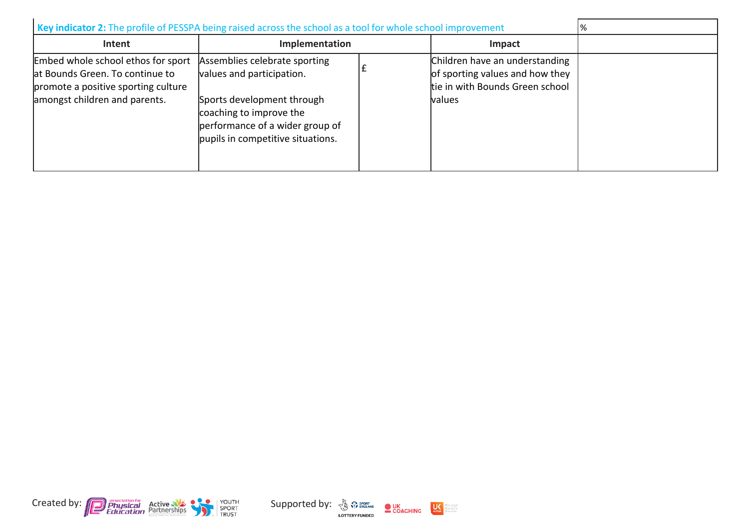| Key indicator 2: The profile of PESSPA being raised across the school as a tool for whole school improvement                                  |                                                                                                                                                                                             |  |                                                                                                                       | % |
|-----------------------------------------------------------------------------------------------------------------------------------------------|---------------------------------------------------------------------------------------------------------------------------------------------------------------------------------------------|--|-----------------------------------------------------------------------------------------------------------------------|---|
| Intent                                                                                                                                        | Implementation<br>Impact                                                                                                                                                                    |  |                                                                                                                       |   |
| Embed whole school ethos for sport<br>at Bounds Green. To continue to<br>promote a positive sporting culture<br>amongst children and parents. | Assemblies celebrate sporting<br>values and participation.<br>Sports development through<br>coaching to improve the<br>performance of a wider group of<br>pupils in competitive situations. |  | Children have an understanding<br>of sporting values and how they<br>tie in with Bounds Green school<br><b>balues</b> |   |





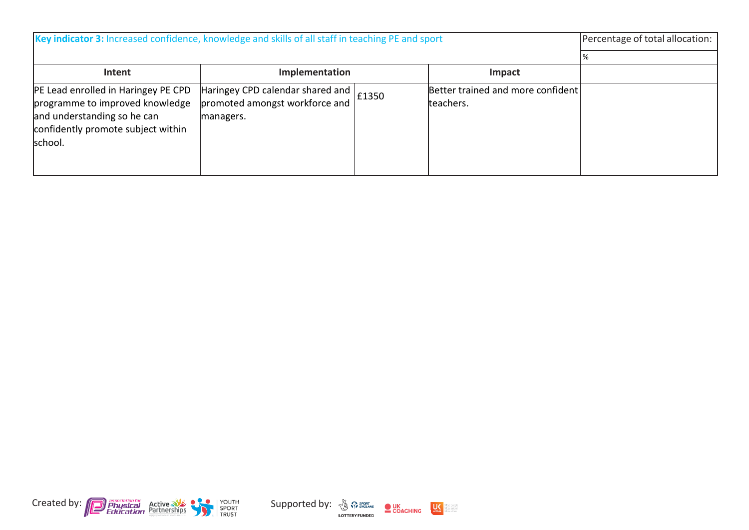| Key indicator 3: Increased confidence, knowledge and skills of all staff in teaching PE and sport                                                      |                                                                                         |  | Percentage of total allocation:                |  |
|--------------------------------------------------------------------------------------------------------------------------------------------------------|-----------------------------------------------------------------------------------------|--|------------------------------------------------|--|
|                                                                                                                                                        |                                                                                         |  |                                                |  |
| Intent                                                                                                                                                 | Implementation                                                                          |  | Impact                                         |  |
| PE Lead enrolled in Haringey PE CPD<br>programme to improved knowledge<br>and understanding so he can<br>confidently promote subject within<br>school. | Haringey CPD calendar shared and   £1350<br>promoted amongst workforce and<br>managers. |  | Better trained and more confident<br>teachers. |  |





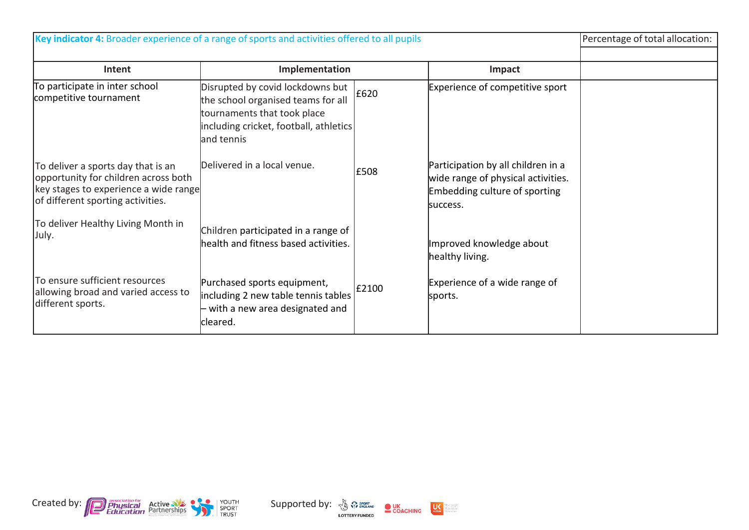| Key indicator 4: Broader experience of a range of sports and activities offered to all pupils                                                            |                                                                                                                                                               |       | Percentage of total allocation:                                                                                       |  |
|----------------------------------------------------------------------------------------------------------------------------------------------------------|---------------------------------------------------------------------------------------------------------------------------------------------------------------|-------|-----------------------------------------------------------------------------------------------------------------------|--|
| Intent                                                                                                                                                   | Implementation                                                                                                                                                |       | Impact                                                                                                                |  |
| To participate in inter school<br>competitive tournament                                                                                                 | Disrupted by covid lockdowns but<br>the school organised teams for all<br>tournaments that took place<br>including cricket, football, athletics<br>and tennis | E620  | Experience of competitive sport                                                                                       |  |
| To deliver a sports day that is an<br>opportunity for children across both<br>key stages to experience a wide range<br>of different sporting activities. | Delivered in a local venue.                                                                                                                                   | £508  | Participation by all children in a<br>wide range of physical activities.<br>Embedding culture of sporting<br>success. |  |
| To deliver Healthy Living Month in<br>July.                                                                                                              | Children participated in a range of<br>health and fitness based activities.                                                                                   |       | Improved knowledge about<br>healthy living.                                                                           |  |
| To ensure sufficient resources<br>allowing broad and varied access to<br>different sports.                                                               | Purchased sports equipment,<br>including 2 new table tennis tables<br>- with a new area designated and<br>cleared.                                            | £2100 | Experience of a wide range of<br>sports.                                                                              |  |